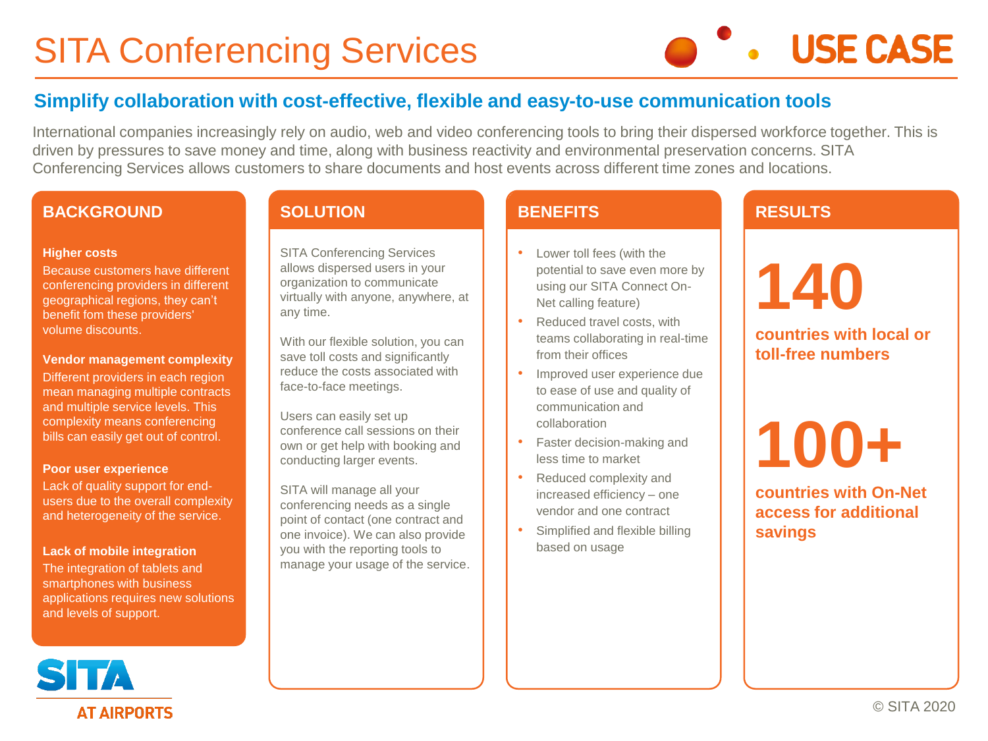# SITA Conferencing Services



# **Simplify collaboration with cost-effective, flexible and easy-to-use communication tools**

International companies increasingly rely on audio, web and video conferencing tools to bring their dispersed workforce together. This is driven by pressures to save money and time, along with business reactivity and environmental preservation concerns. SITA Conferencing Services allows customers to share documents and host events across different time zones and locations.

#### **BACKGROUND**

#### **Higher costs**

Because customers have different conferencing providers in different geographical regions, they can't benefit fom these providers' volume discounts.

#### **Vendor management complexity**

Different providers in each region mean managing multiple contracts and multiple service levels. This complexity means conferencing bills can easily get out of control.

#### **Poor user experience**

Lack of quality support for endusers due to the overall complexity and heterogeneity of the service.

#### **Lack of mobile integration**

The integration of tablets and smartphones with business applications requires new solutions and levels of support.

#### **SOLUTION**

SITA Conferencing Services allows dispersed users in your organization to communicate virtually with anyone, anywhere, at any time.

With our flexible solution, you can save toll costs and significantly reduce the costs associated with face-to-face meetings.

Users can easily set up conference call sessions on their own or get help with booking and conducting larger events.

SITA will manage all your conferencing needs as a single point of contact (one contract and one invoice). We can also provide you with the reporting tools to manage your usage of the service.

#### **BENEFITS**

- Lower toll fees (with the potential to save even more by using our SITA Connect On-Net calling feature)
- Reduced travel costs, with teams collaborating in real-time from their offices
- Improved user experience due to ease of use and quality of communication and collaboration
- Faster decision-making and less time to market
- Reduced complexity and increased efficiency – one vendor and one contract
- Simplified and flexible billing based on usage

## **RESULTS**



**countries with local or toll-free numbers** 

# **100+**

**countries with On-Net access for additional savings**